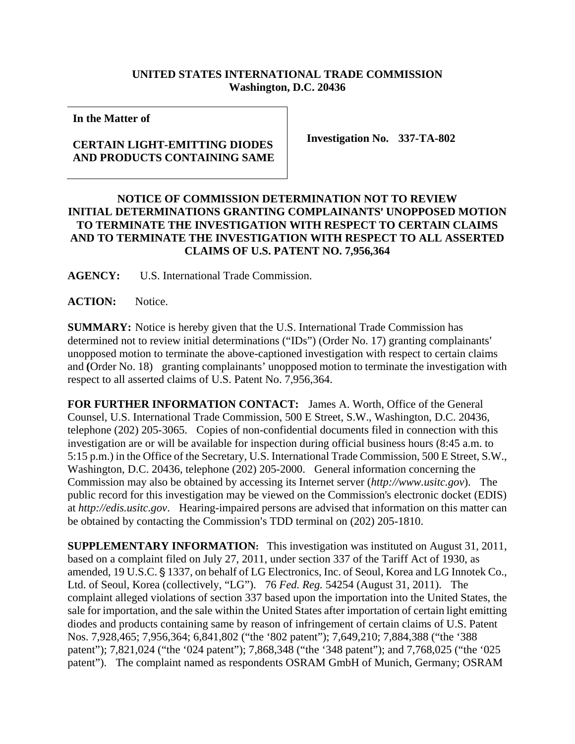## **UNITED STATES INTERNATIONAL TRADE COMMISSION Washington, D.C. 20436**

**In the Matter of** 

## **CERTAIN LIGHT-EMITTING DIODES AND PRODUCTS CONTAINING SAME**

**Investigation No. 337-TA-802** 

## **NOTICE OF COMMISSION DETERMINATION NOT TO REVIEW INITIAL DETERMINATIONS GRANTING COMPLAINANTS' UNOPPOSED MOTION TO TERMINATE THE INVESTIGATION WITH RESPECT TO CERTAIN CLAIMS AND TO TERMINATE THE INVESTIGATION WITH RESPECT TO ALL ASSERTED CLAIMS OF U.S. PATENT NO. 7,956,364**

**AGENCY:** U.S. International Trade Commission.

ACTION: Notice.

**SUMMARY:** Notice is hereby given that the U.S. International Trade Commission has determined not to review initial determinations ("IDs") (Order No. 17) granting complainants' unopposed motion to terminate the above-captioned investigation with respect to certain claims and **(**Order No. 18) granting complainants' unopposed motion to terminate the investigation with respect to all asserted claims of U.S. Patent No. 7,956,364.

**FOR FURTHER INFORMATION CONTACT:** James A. Worth, Office of the General Counsel, U.S. International Trade Commission, 500 E Street, S.W., Washington, D.C. 20436, telephone (202) 205-3065. Copies of non-confidential documents filed in connection with this investigation are or will be available for inspection during official business hours (8:45 a.m. to 5:15 p.m.) in the Office of the Secretary, U.S. International Trade Commission, 500 E Street, S.W., Washington, D.C. 20436, telephone (202) 205-2000. General information concerning the Commission may also be obtained by accessing its Internet server (*http://www.usitc.gov*). The public record for this investigation may be viewed on the Commission's electronic docket (EDIS) at *http://edis.usitc.gov*. Hearing-impaired persons are advised that information on this matter can be obtained by contacting the Commission's TDD terminal on (202) 205-1810.

**SUPPLEMENTARY INFORMATION:** This investigation was instituted on August 31, 2011, based on a complaint filed on July 27, 2011, under section 337 of the Tariff Act of 1930, as amended, 19 U.S.C. § 1337, on behalf of LG Electronics, Inc. of Seoul, Korea and LG Innotek Co., Ltd. of Seoul, Korea (collectively, "LG"). 76 *Fed. Reg.* 54254 (August 31, 2011). The complaint alleged violations of section 337 based upon the importation into the United States, the sale for importation, and the sale within the United States after importation of certain light emitting diodes and products containing same by reason of infringement of certain claims of U.S. Patent Nos. 7,928,465; 7,956,364; 6,841,802 ("the '802 patent"); 7,649,210; 7,884,388 ("the '388 patent"); 7,821,024 ("the '024 patent"); 7,868,348 ("the '348 patent"); and 7,768,025 ("the '025 patent"). The complaint named as respondents OSRAM GmbH of Munich, Germany; OSRAM